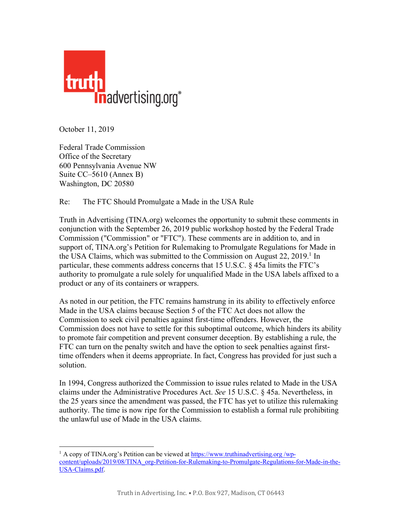

October 11, 2019

Federal Trade Commission Office of the Secretary 600 Pennsylvania Avenue NW Suite CC–5610 (Annex B) Washington, DC 20580

 

## Re: The FTC Should Promulgate a Made in the USA Rule

Truth in Advertising (TINA.org) welcomes the opportunity to submit these comments in conjunction with the September 26, 2019 public workshop hosted by the Federal Trade Commission ("Commission" or "FTC"). These comments are in addition to, and in support of, TINA.org's Petition for Rulemaking to Promulgate Regulations for Made in the USA Claims, which was submitted to the Commission on August  $22$ ,  $2019$ <sup>1</sup> In particular, these comments address concerns that 15 U.S.C. § 45a limits the FTC's authority to promulgate a rule solely for unqualified Made in the USA labels affixed to a product or any of its containers or wrappers.

As noted in our petition, the FTC remains hamstrung in its ability to effectively enforce Made in the USA claims because Section 5 of the FTC Act does not allow the Commission to seek civil penalties against first-time offenders. However, the Commission does not have to settle for this suboptimal outcome, which hinders its ability to promote fair competition and prevent consumer deception. By establishing a rule, the FTC can turn on the penalty switch and have the option to seek penalties against firsttime offenders when it deems appropriate. In fact, Congress has provided for just such a solution.

In 1994, Congress authorized the Commission to issue rules related to Made in the USA claims under the Administrative Procedures Act. *See* 15 U.S.C. § 45a. Nevertheless, in the 25 years since the amendment was passed, the FTC has yet to utilize this rulemaking authority. The time is now ripe for the Commission to establish a formal rule prohibiting the unlawful use of Made in the USA claims.

<sup>1</sup> A copy of TINA.org's Petition can be viewed at https://www.truthinadvertising.org /wpcontent/uploads/2019/08/TINA\_org-Petition-for-Rulemaking-to-Promulgate-Regulations-for-Made-in-the-USA-Claims.pdf.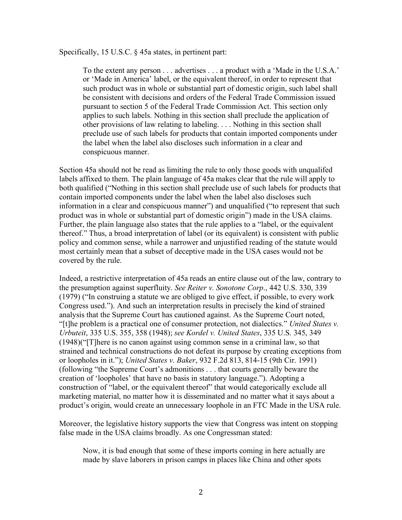Specifically, 15 U.S.C. § 45a states, in pertinent part:

To the extent any person . . . advertises . . . a product with a 'Made in the U.S.A.' or 'Made in America' label, or the equivalent thereof, in order to represent that such product was in whole or substantial part of domestic origin, such label shall be consistent with decisions and orders of the Federal Trade Commission issued pursuant to section 5 of the Federal Trade Commission Act. This section only applies to such labels. Nothing in this section shall preclude the application of other provisions of law relating to labeling. . . . Nothing in this section shall preclude use of such labels for products that contain imported components under the label when the label also discloses such information in a clear and conspicuous manner.

Section 45a should not be read as limiting the rule to only those goods with unqualifed labels affixed to them. The plain language of 45a makes clear that the rule will apply to both qualified ("Nothing in this section shall preclude use of such labels for products that contain imported components under the label when the label also discloses such information in a clear and conspicuous manner") and unqualified ("to represent that such product was in whole or substantial part of domestic origin") made in the USA claims. Further, the plain language also states that the rule applies to a "label, or the equivalent thereof." Thus, a broad interpretation of label (or its equivalent) is consistent with public policy and common sense, while a narrower and unjustified reading of the statute would most certainly mean that a subset of deceptive made in the USA cases would not be covered by the rule.

Indeed, a restrictive interpretation of 45a reads an entire clause out of the law, contrary to the presumption against superfluity. *See Reiter v. Sonotone Corp*., 442 U.S. 330, 339 (1979) ("In construing a statute we are obliged to give effect, if possible, to every work Congress used."). And such an interpretation results in precisely the kind of strained analysis that the Supreme Court has cautioned against. As the Supreme Court noted, "[t]he problem is a practical one of consumer protection, not dialectics." *United States v. Urbuteit*, 335 U.S. 355, 358 (1948); *see Kordel v. United States*, 335 U.S. 345, 349 (1948)("[T]here is no canon against using common sense in a criminal law, so that strained and technical constructions do not defeat its purpose by creating exceptions from or loopholes in it."); *United States v. Baker*, 932 F.2d 813, 814-15 (9th Cir. 1991) (following "the Supreme Court's admonitions . . . that courts generally beware the creation of 'loopholes' that have no basis in statutory language."). Adopting a construction of "label, or the equivalent thereof" that would categorically exclude all marketing material, no matter how it is disseminated and no matter what it says about a product's origin, would create an unnecessary loophole in an FTC Made in the USA rule.

Moreover, the legislative history supports the view that Congress was intent on stopping false made in the USA claims broadly. As one Congressman stated:

Now, it is bad enough that some of these imports coming in here actually are made by slave laborers in prison camps in places like China and other spots